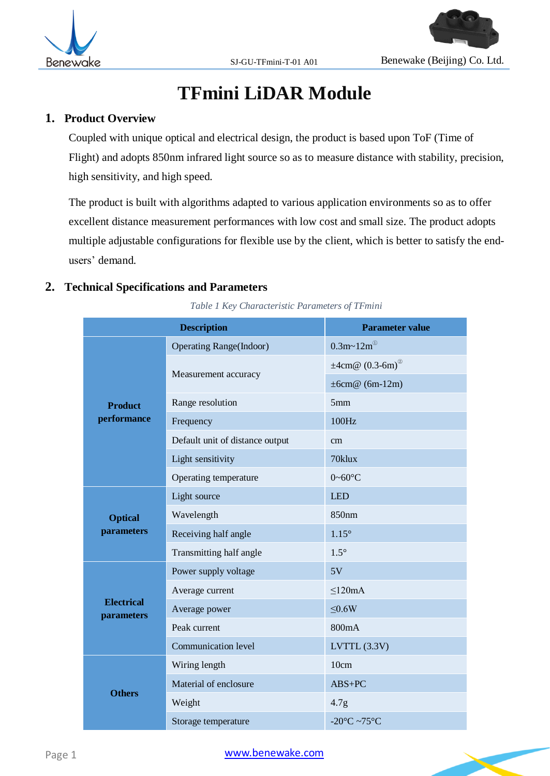

# **TFmini LiDAR Module**

#### **1. Product Overview**

Coupled with unique optical and electrical design, the product is based upon ToF (Time of Flight) and adopts 850nm infrared light source so as to measure distance with stability, precision, high sensitivity, and high speed.

The product is built with algorithms adapted to various application environments so as to offer excellent distance measurement performances with low cost and small size. The product adopts multiple adjustable configurations for flexible use by the client, which is better to satisfy the endusers' demand.

## **2. Technical Specifications and Parameters**

*Table 1 Key Characteristic Parameters of TFmini*

|                                 | <b>Description</b>              | <b>Parameter value</b>            |  |  |
|---------------------------------|---------------------------------|-----------------------------------|--|--|
|                                 | <b>Operating Range(Indoor)</b>  | $0.3m - 12m^{\circ}$              |  |  |
|                                 |                                 | $\pm 4$ cm@ (0.3-6m) <sup>@</sup> |  |  |
|                                 | Measurement accuracy            | $\pm 6cm@$ (6m-12m)               |  |  |
| <b>Product</b>                  | Range resolution                | 5mm                               |  |  |
| performance                     | Frequency                       | 100Hz                             |  |  |
|                                 | Default unit of distance output | cm                                |  |  |
|                                 | Light sensitivity               | 70klux                            |  |  |
|                                 | Operating temperature           | $0 - 60$ °C                       |  |  |
| <b>Optical</b>                  | Light source                    | <b>LED</b>                        |  |  |
|                                 | Wavelength                      | 850nm                             |  |  |
| parameters                      | Receiving half angle            | $1.15^\circ$                      |  |  |
|                                 | Transmitting half angle         | $1.5^\circ$                       |  |  |
|                                 | Power supply voltage            | 5V                                |  |  |
|                                 | Average current                 | < 120mA                           |  |  |
| <b>Electrical</b><br>parameters | Average power                   | $\leq 0.6W$                       |  |  |
|                                 | Peak current                    | 800mA                             |  |  |
|                                 | Communication level             | LVTTL $(3.3V)$                    |  |  |
|                                 | Wiring length                   | 10cm                              |  |  |
|                                 | Material of enclosure           | $ABS+PC$                          |  |  |
| <b>Others</b>                   | Weight                          | 4.7 <sub>g</sub>                  |  |  |
|                                 | Storage temperature             | -20 $^{\circ}$ C ~75 $^{\circ}$ C |  |  |

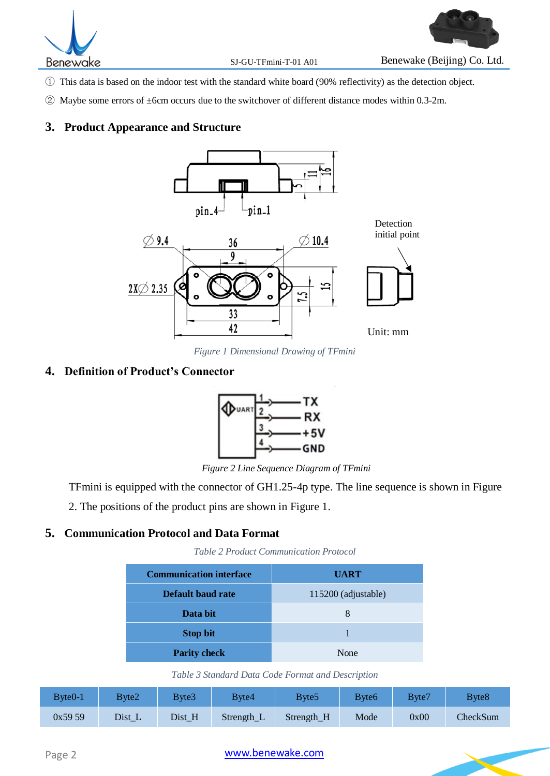

- ① This data is based on the indoor test with the standard white board (90% reflectivity) as the detection object.
- ② Maybe some errors of ±6cm occurs due to the switchover of different distance modes within 0.3-2m.

#### **3. Product Appearance and Structure**



*Figure 1 Dimensional Drawing of TFmini* 

#### <span id="page-1-0"></span>**4. Definition of Product's Connector**



*Figure 2 Line Sequence Diagram of TFmini*

TFmini is equipped with the connector of GH1.25-4p type. The line sequence is shown in Figure

2. The positions of the product pins are shown in [Figure 1.](#page-1-0)

#### **5. Communication Protocol and Data Format**

*Table 2 Product Communication Protocol*

| <b>Communication interface</b> | <b>UART</b>         |
|--------------------------------|---------------------|
| Default baud rate              | 115200 (adjustable) |
| Data bit                       | 8                   |
| <b>Stop bit</b>                |                     |
| <b>Parity check</b>            | None                |

*Table 3 Standard Data Code Format and Description*

<span id="page-1-1"></span>

| Byte <sub>0</sub> -1 | Bvte2  | Byte3  | Byte4      | Bvte5      | <b>B</b> yte6 | Byte7 | Byte8    |
|----------------------|--------|--------|------------|------------|---------------|-------|----------|
| 0x5959               | Dist_L | Dist_H | Strength_L | Strength_H | Mode          | 0x00  | CheckSum |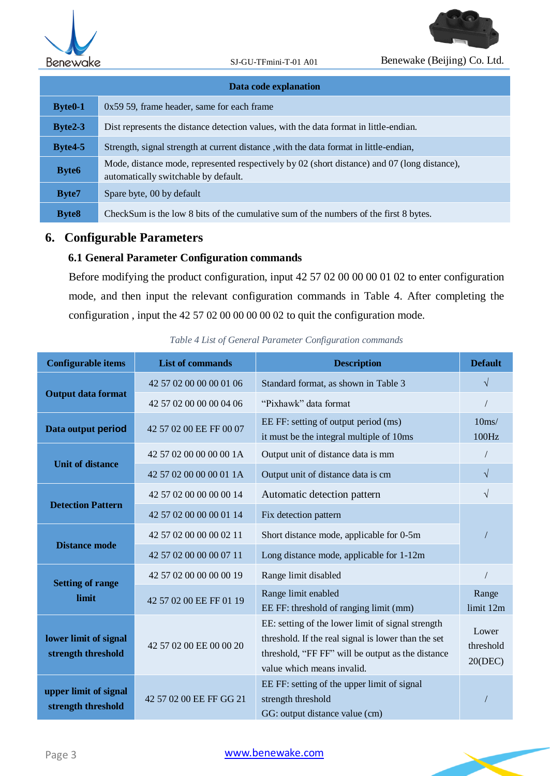

| Data code explanation |                                                                                                                                      |  |  |  |
|-----------------------|--------------------------------------------------------------------------------------------------------------------------------------|--|--|--|
| $Byte0-1$             | 0x59 59, frame header, same for each frame                                                                                           |  |  |  |
| $Byte2-3$             | Dist represents the distance detection values, with the data format in little-endian.                                                |  |  |  |
| $Byte4-5$             | Strength, signal strength at current distance, with the data format in little-endian,                                                |  |  |  |
| <b>Byte6</b>          | Mode, distance mode, represented respectively by 02 (short distance) and 07 (long distance),<br>automatically switchable by default. |  |  |  |
| Byte7                 | Spare byte, 00 by default                                                                                                            |  |  |  |
| <b>Byte8</b>          | CheckSum is the low 8 bits of the cumulative sum of the numbers of the first 8 bytes.                                                |  |  |  |

## **6. Configurable Parameters**

## **6.1 General Parameter Configuration commands**

Before modifying the product configuration, input 42 57 02 00 00 00 01 02 to enter configuration mode, and then input the relevant configuration commands in Table 4. After completing the configuration , input the 42 57 02 00 00 00 00 02 to quit the configuration mode.

| <b>Configurable items</b>                   | <b>List of commands</b> | <b>Description</b>                                                                                                                                                                          | <b>Default</b>                |  |
|---------------------------------------------|-------------------------|---------------------------------------------------------------------------------------------------------------------------------------------------------------------------------------------|-------------------------------|--|
|                                             | 42 57 02 00 00 00 01 06 | Standard format, as shown in Table 3                                                                                                                                                        | $\sqrt{}$                     |  |
| <b>Output data format</b>                   | 42 57 02 00 00 00 04 06 | "Pixhawk" data format                                                                                                                                                                       |                               |  |
| Data output period                          | 42 57 02 00 EE FF 00 07 | EE FF: setting of output period (ms)<br>it must be the integral multiple of 10ms                                                                                                            | 10 <sub>ms</sub><br>100Hz     |  |
| <b>Unit of distance</b>                     | 42 57 02 00 00 00 00 1A | Output unit of distance data is mm                                                                                                                                                          |                               |  |
|                                             | 42 57 02 00 00 00 01 1A | Output unit of distance data is cm                                                                                                                                                          | $\sqrt{ }$                    |  |
|                                             | 42 57 02 00 00 00 00 14 | Automatic detection pattern                                                                                                                                                                 | $\sqrt{ }$                    |  |
| <b>Detection Pattern</b>                    | 42 57 02 00 00 00 01 14 | Fix detection pattern                                                                                                                                                                       |                               |  |
|                                             | 42 57 02 00 00 00 02 11 | Short distance mode, applicable for 0-5m                                                                                                                                                    |                               |  |
| <b>Distance mode</b>                        | 42 57 02 00 00 00 07 11 | Long distance mode, applicable for 1-12m                                                                                                                                                    |                               |  |
|                                             | 42 57 02 00 00 00 00 19 | Range limit disabled                                                                                                                                                                        |                               |  |
| <b>Setting of range</b><br>limit            | 42 57 02 00 EE FF 01 19 | Range limit enabled<br>EE FF: threshold of ranging limit (mm)                                                                                                                               | Range<br>limit 12m            |  |
| lower limit of signal<br>strength threshold | 42 57 02 00 EE 00 00 20 | EE: setting of the lower limit of signal strength<br>threshold. If the real signal is lower than the set<br>threshold, "FF FF" will be output as the distance<br>value which means invalid. | Lower<br>threshold<br>20(DEC) |  |
| upper limit of signal<br>strength threshold | 42 57 02 00 EE FF GG 21 | EE FF: setting of the upper limit of signal<br>strength threshold<br>GG: output distance value (cm)                                                                                         |                               |  |

*Table 4 List of General Parameter Configuration commands*